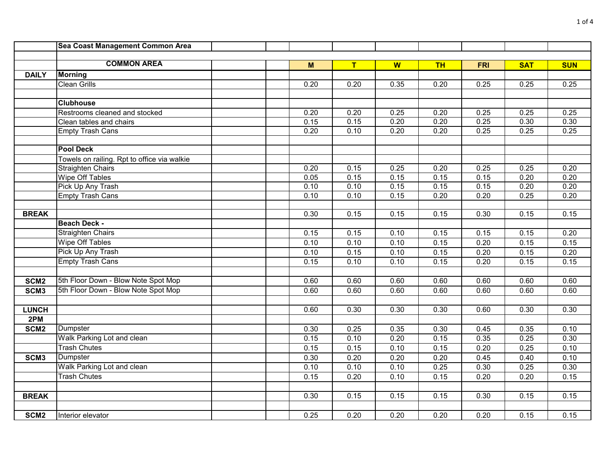|                  | Sea Coast Management Common Area            |      |      |      |           |                   |            |            |
|------------------|---------------------------------------------|------|------|------|-----------|-------------------|------------|------------|
|                  |                                             |      |      |      |           |                   |            |            |
|                  | <b>COMMON AREA</b>                          | M    | T    | W    | <b>TH</b> | <b>FRI</b>        | <b>SAT</b> | <b>SUN</b> |
| <b>DAILY</b>     | <b>Morning</b>                              |      |      |      |           |                   |            |            |
|                  | <b>Clean Grills</b>                         | 0.20 | 0.20 | 0.35 | 0.20      | 0.25              | 0.25       | 0.25       |
|                  |                                             |      |      |      |           |                   |            |            |
|                  | <b>Clubhouse</b>                            |      |      |      |           |                   |            |            |
|                  | Restrooms cleaned and stocked               | 0.20 | 0.20 | 0.25 | 0.20      | 0.25              | 0.25       | 0.25       |
|                  | Clean tables and chairs                     | 0.15 | 0.15 | 0.20 | 0.20      | 0.25              | 0.30       | 0.30       |
|                  | <b>Empty Trash Cans</b>                     | 0.20 | 0.10 | 0.20 | 0.20      | 0.25              | 0.25       | 0.25       |
|                  |                                             |      |      |      |           |                   |            |            |
|                  | <b>Pool Deck</b>                            |      |      |      |           |                   |            |            |
|                  | Towels on railing. Rpt to office via walkie |      |      |      |           |                   |            |            |
|                  | <b>Straighten Chairs</b>                    | 0.20 | 0.15 | 0.25 | 0.20      | 0.25              | 0.25       | 0.20       |
|                  | <b>Wipe Off Tables</b>                      | 0.05 | 0.15 | 0.15 | 0.15      | 0.15              | 0.20       | 0.20       |
|                  | Pick Up Any Trash                           | 0.10 | 0.10 | 0.15 | 0.15      | 0.15              | 0.20       | 0.20       |
|                  | <b>Empty Trash Cans</b>                     | 0.10 | 0.10 | 0.15 | 0.20      | $\overline{0.20}$ | 0.25       | 0.20       |
|                  |                                             |      |      |      |           |                   |            |            |
| <b>BREAK</b>     |                                             | 0.30 | 0.15 | 0.15 | 0.15      | 0.30              | 0.15       | 0.15       |
|                  | <b>Beach Deck -</b>                         |      |      |      |           |                   |            |            |
|                  | <b>Straighten Chairs</b>                    | 0.15 | 0.15 | 0.10 | 0.15      | 0.15              | 0.15       | 0.20       |
|                  | <b>Wipe Off Tables</b>                      | 0.10 | 0.10 | 0.10 | 0.15      | 0.20              | 0.15       | 0.15       |
|                  | Pick Up Any Trash                           | 0.10 | 0.15 | 0.10 | 0.15      | 0.20              | 0.15       | 0.20       |
|                  | <b>Empty Trash Cans</b>                     | 0.15 | 0.10 | 0.10 | 0.15      | 0.20              | 0.15       | 0.15       |
|                  |                                             |      |      |      |           |                   |            |            |
| SCM <sub>2</sub> | 5th Floor Down - Blow Note Spot Mop         | 0.60 | 0.60 | 0.60 | 0.60      | 0.60              | 0.60       | 0.60       |
| SCM <sub>3</sub> | 5th Floor Down - Blow Note Spot Mop         | 0.60 | 0.60 | 0.60 | 0.60      | 0.60              | 0.60       | 0.60       |
|                  |                                             |      |      |      |           |                   |            |            |
| <b>LUNCH</b>     |                                             | 0.60 | 0.30 | 0.30 | 0.30      | 0.60              | 0.30       | 0.30       |
| 2PM              |                                             |      |      |      |           |                   |            |            |
| SCM <sub>2</sub> | Dumpster                                    | 0.30 | 0.25 | 0.35 | 0.30      | 0.45              | 0.35       | 0.10       |
|                  | Walk Parking Lot and clean                  | 0.15 | 0.10 | 0.20 | 0.15      | 0.35              | 0.25       | 0.30       |
|                  | <b>Trash Chutes</b>                         | 0.15 | 0.15 | 0.10 | 0.15      | 0.20              | 0.25       | 0.10       |
| SCM <sub>3</sub> | Dumpster                                    | 0.30 | 0.20 | 0.20 | 0.20      | 0.45              | 0.40       | 0.10       |
|                  | Walk Parking Lot and clean                  | 0.10 | 0.10 | 0.10 | 0.25      | 0.30              | 0.25       | 0.30       |
|                  | <b>Trash Chutes</b>                         | 0.15 | 0.20 | 0.10 | 0.15      | $\overline{0.20}$ | 0.20       | 0.15       |
|                  |                                             |      |      |      |           |                   |            |            |
| <b>BREAK</b>     |                                             | 0.30 | 0.15 | 0.15 | 0.15      | 0.30              | 0.15       | 0.15       |
|                  |                                             |      |      |      |           |                   |            |            |
| SCM <sub>2</sub> | Interior elevator                           | 0.25 | 0.20 | 0.20 | 0.20      | 0.20              | 0.15       | 0.15       |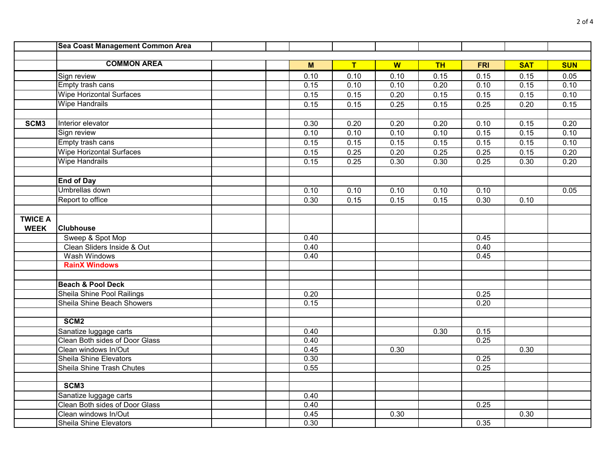|                  | Sea Coast Management Common Area |      |                   |      |           |            |            |            |
|------------------|----------------------------------|------|-------------------|------|-----------|------------|------------|------------|
|                  |                                  |      |                   |      |           |            |            |            |
|                  | <b>COMMON AREA</b>               | M    | T                 | W    | <b>TH</b> | <b>FRI</b> | <b>SAT</b> | <b>SUN</b> |
|                  | Sign review                      | 0.10 | 0.10              | 0.10 | 0.15      | 0.15       | 0.15       | 0.05       |
|                  | Empty trash cans                 | 0.15 | 0.10              | 0.10 | 0.20      | 0.10       | 0.15       | 0.10       |
|                  | <b>Wipe Horizontal Surfaces</b>  | 0.15 | 0.15              | 0.20 | 0.15      | 0.15       | 0.15       | 0.10       |
|                  | <b>Wipe Handrails</b>            | 0.15 | 0.15              | 0.25 | 0.15      | 0.25       | 0.20       | 0.15       |
|                  |                                  |      |                   |      |           |            |            |            |
| SCM <sub>3</sub> | Interior elevator                | 0.30 | $\overline{0.20}$ | 0.20 | 0.20      | 0.10       | 0.15       | 0.20       |
|                  | Sign review                      | 0.10 | 0.10              | 0.10 | 0.10      | 0.15       | 0.15       | 0.10       |
|                  | Empty trash cans                 | 0.15 | 0.15              | 0.15 | 0.15      | 0.15       | 0.15       | 0.10       |
|                  | <b>Wipe Horizontal Surfaces</b>  | 0.15 | 0.25              | 0.20 | 0.25      | 0.25       | 0.15       | 0.20       |
|                  | <b>Wipe Handrails</b>            | 0.15 | 0.25              | 0.30 | 0.30      | 0.25       | 0.30       | 0.20       |
|                  |                                  |      |                   |      |           |            |            |            |
|                  | <b>End of Day</b>                |      |                   |      |           |            |            |            |
|                  | Umbrellas down                   | 0.10 | 0.10              | 0.10 | 0.10      | 0.10       |            | 0.05       |
|                  | Report to office                 | 0.30 | 0.15              | 0.15 | 0.15      | 0.30       | 0.10       |            |
|                  |                                  |      |                   |      |           |            |            |            |
| <b>TWICE A</b>   |                                  |      |                   |      |           |            |            |            |
| <b>WEEK</b>      | <b>Clubhouse</b>                 |      |                   |      |           |            |            |            |
|                  | Sweep & Spot Mop                 | 0.40 |                   |      |           | 0.45       |            |            |
|                  | Clean Sliders Inside & Out       | 0.40 |                   |      |           | 0.40       |            |            |
|                  | Wash Windows                     | 0.40 |                   |      |           | 0.45       |            |            |
|                  | <b>RainX Windows</b>             |      |                   |      |           |            |            |            |
|                  |                                  |      |                   |      |           |            |            |            |
|                  | <b>Beach &amp; Pool Deck</b>     |      |                   |      |           |            |            |            |
|                  | Sheila Shine Pool Railings       | 0.20 |                   |      |           | 0.25       |            |            |
|                  | Sheila Shine Beach Showers       | 0.15 |                   |      |           | 0.20       |            |            |
|                  |                                  |      |                   |      |           |            |            |            |
|                  | SCM <sub>2</sub>                 |      |                   |      |           |            |            |            |
|                  | Sanatize luggage carts           | 0.40 |                   |      | 0.30      | 0.15       |            |            |
|                  | Clean Both sides of Door Glass   | 0.40 |                   |      |           | 0.25       |            |            |
|                  | Clean windows In/Out             | 0.45 |                   | 0.30 |           |            | 0.30       |            |
|                  | Sheila Shine Elevators           | 0.30 |                   |      |           | 0.25       |            |            |
|                  | Sheila Shine Trash Chutes        | 0.55 |                   |      |           | 0.25       |            |            |
|                  |                                  |      |                   |      |           |            |            |            |
|                  | SCM <sub>3</sub>                 |      |                   |      |           |            |            |            |
|                  | Sanatize luggage carts           | 0.40 |                   |      |           |            |            |            |
|                  | Clean Both sides of Door Glass   | 0.40 |                   |      |           | 0.25       |            |            |
|                  | Clean windows In/Out             | 0.45 |                   | 0.30 |           |            | 0.30       |            |
|                  | <b>Sheila Shine Elevators</b>    | 0.30 |                   |      |           | 0.35       |            |            |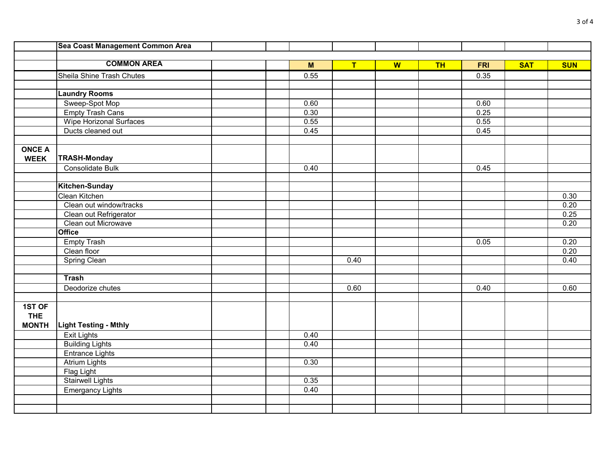|               | Sea Coast Management Common Area |      |      |   |           |            |            |            |
|---------------|----------------------------------|------|------|---|-----------|------------|------------|------------|
|               |                                  |      |      |   |           |            |            |            |
|               | <b>COMMON AREA</b>               | M    | T    | W | <b>TH</b> | <b>FRI</b> | <b>SAT</b> | <b>SUN</b> |
|               | Sheila Shine Trash Chutes        | 0.55 |      |   |           | 0.35       |            |            |
|               |                                  |      |      |   |           |            |            |            |
|               | <b>Laundry Rooms</b>             |      |      |   |           |            |            |            |
|               | Sweep-Spot Mop                   | 0.60 |      |   |           | 0.60       |            |            |
|               | <b>Empty Trash Cans</b>          | 0.30 |      |   |           | 0.25       |            |            |
|               | <b>Wipe Horizonal Surfaces</b>   | 0.55 |      |   |           | 0.55       |            |            |
|               | Ducts cleaned out                | 0.45 |      |   |           | 0.45       |            |            |
|               |                                  |      |      |   |           |            |            |            |
| <b>ONCE A</b> |                                  |      |      |   |           |            |            |            |
| <b>WEEK</b>   | <b>TRASH-Monday</b>              |      |      |   |           |            |            |            |
|               | Consolidate Bulk                 | 0.40 |      |   |           | 0.45       |            |            |
|               |                                  |      |      |   |           |            |            |            |
|               | Kitchen-Sunday                   |      |      |   |           |            |            |            |
|               | Clean Kitchen                    |      |      |   |           |            |            | 0.30       |
|               | Clean out window/tracks          |      |      |   |           |            |            | 0.20       |
|               | Clean out Refrigerator           |      |      |   |           |            |            | 0.25       |
|               | Clean out Microwave              |      |      |   |           |            |            | 0.20       |
|               | <b>Office</b>                    |      |      |   |           |            |            |            |
|               | <b>Empty Trash</b>               |      |      |   |           | 0.05       |            | 0.20       |
|               | Clean floor                      |      |      |   |           |            |            | 0.20       |
|               | <b>Spring Clean</b>              |      | 0.40 |   |           |            |            | 0.40       |
|               |                                  |      |      |   |           |            |            |            |
|               | <b>Trash</b>                     |      |      |   |           |            |            |            |
|               | Deodorize chutes                 |      | 0.60 |   |           | 0.40       |            | 0.60       |
|               |                                  |      |      |   |           |            |            |            |
| 1ST OF        |                                  |      |      |   |           |            |            |            |
| <b>THE</b>    |                                  |      |      |   |           |            |            |            |
| <b>MONTH</b>  | <b>Light Testing - Mthly</b>     |      |      |   |           |            |            |            |
|               | <b>Exit Lights</b>               | 0.40 |      |   |           |            |            |            |
|               | <b>Building Lights</b>           | 0.40 |      |   |           |            |            |            |
|               | <b>Entrance Lights</b>           |      |      |   |           |            |            |            |
|               | <b>Atrium Lights</b>             | 0.30 |      |   |           |            |            |            |
|               | Flag Light                       |      |      |   |           |            |            |            |
|               | <b>Stairwell Lights</b>          | 0.35 |      |   |           |            |            |            |
|               | <b>Emergancy Lights</b>          | 0.40 |      |   |           |            |            |            |
|               |                                  |      |      |   |           |            |            |            |
|               |                                  |      |      |   |           |            |            |            |